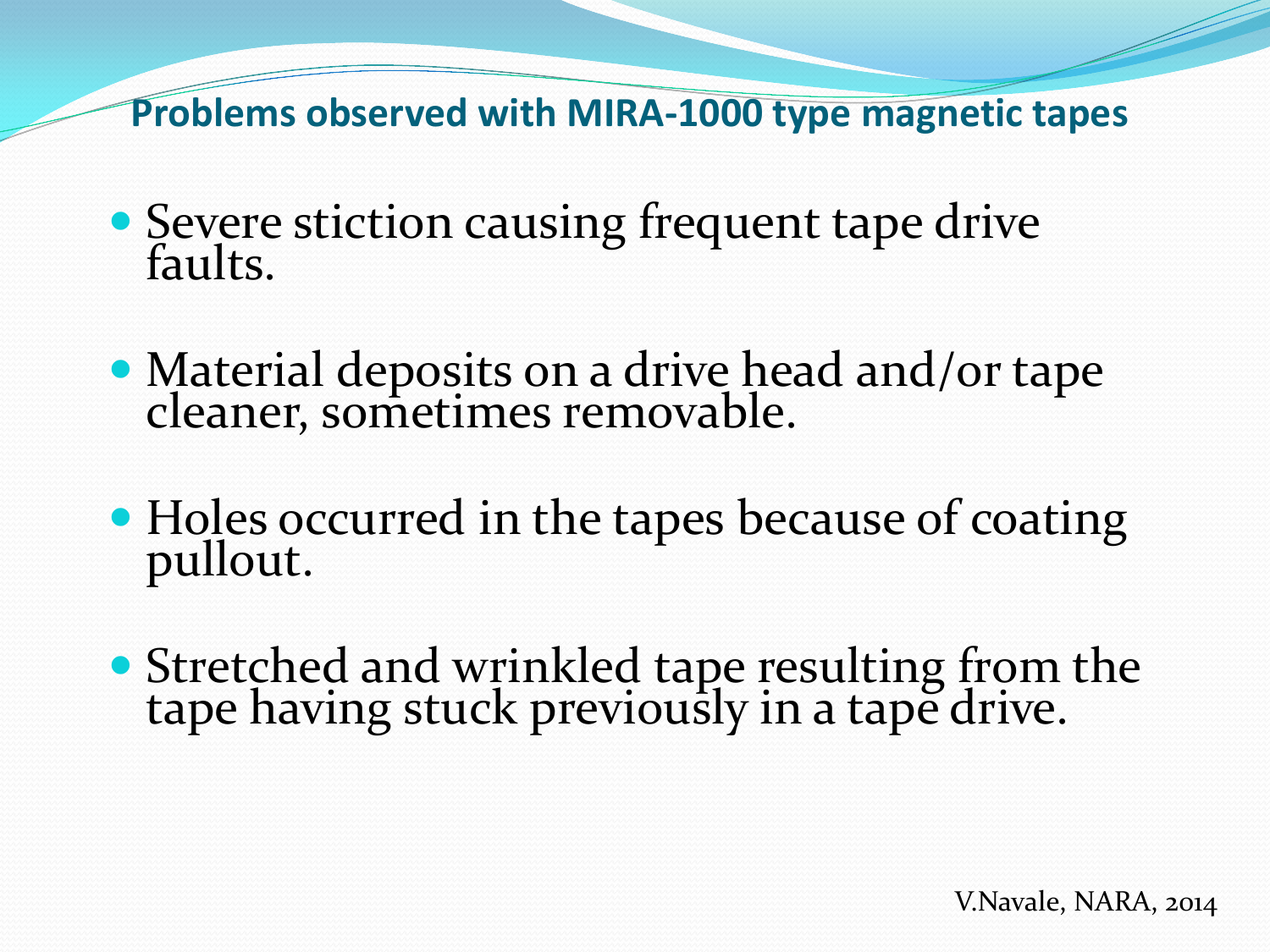**Problems observed with MIRA-1000 type magnetic tapes**

- Severe stiction causing frequent tape drive faults.
- Material deposits on a drive head and/or tape cleaner, sometimes removable.
- Holes occurred in the tapes because of coating pullout.
- Stretched and wrinkled tape resulting from the tape having stuck previously in a tape drive.

V.Navale, NARA, 2014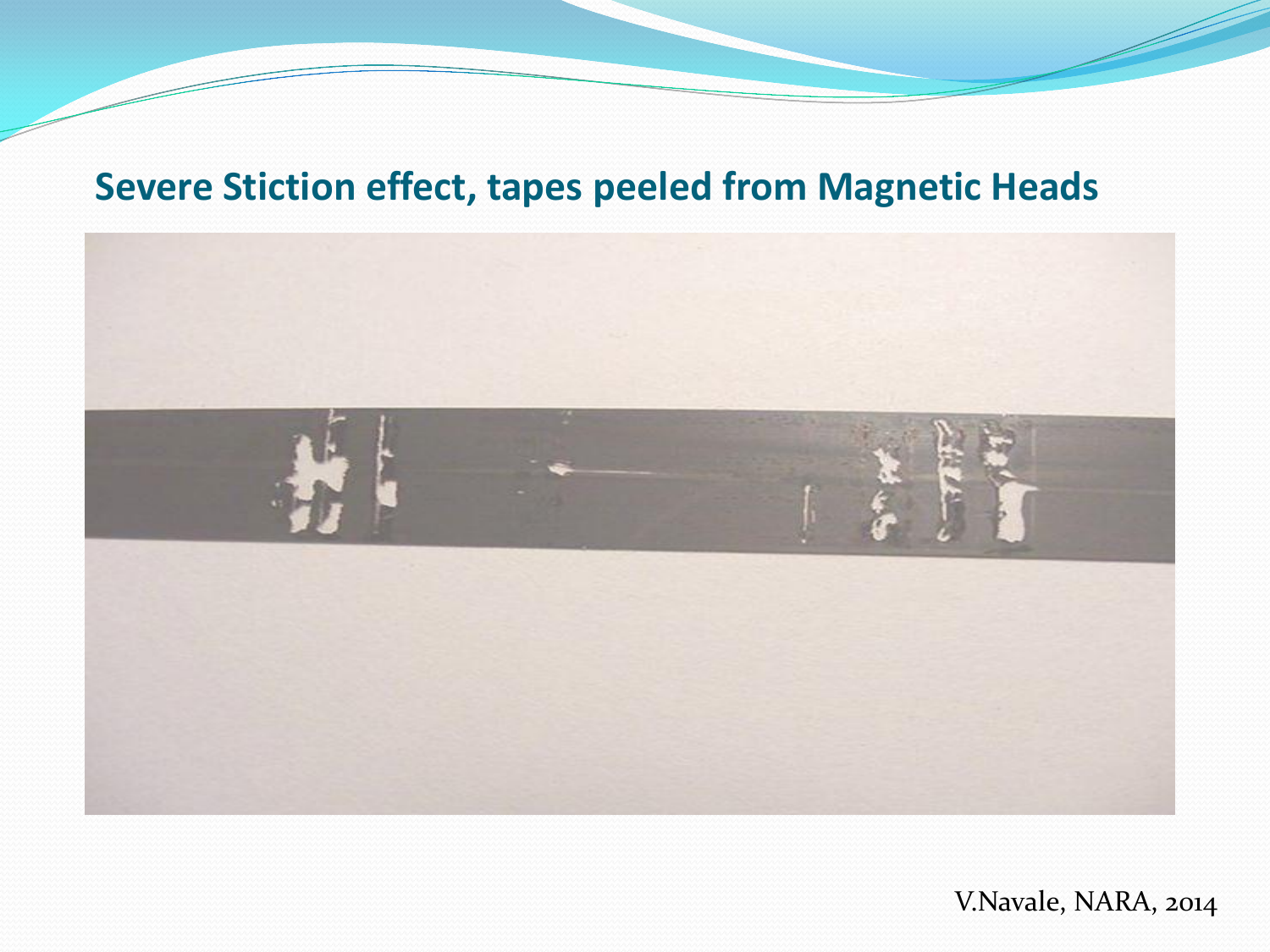## **Severe Stiction effect, tapes peeled from Magnetic Heads**



V.Navale, NARA, 2014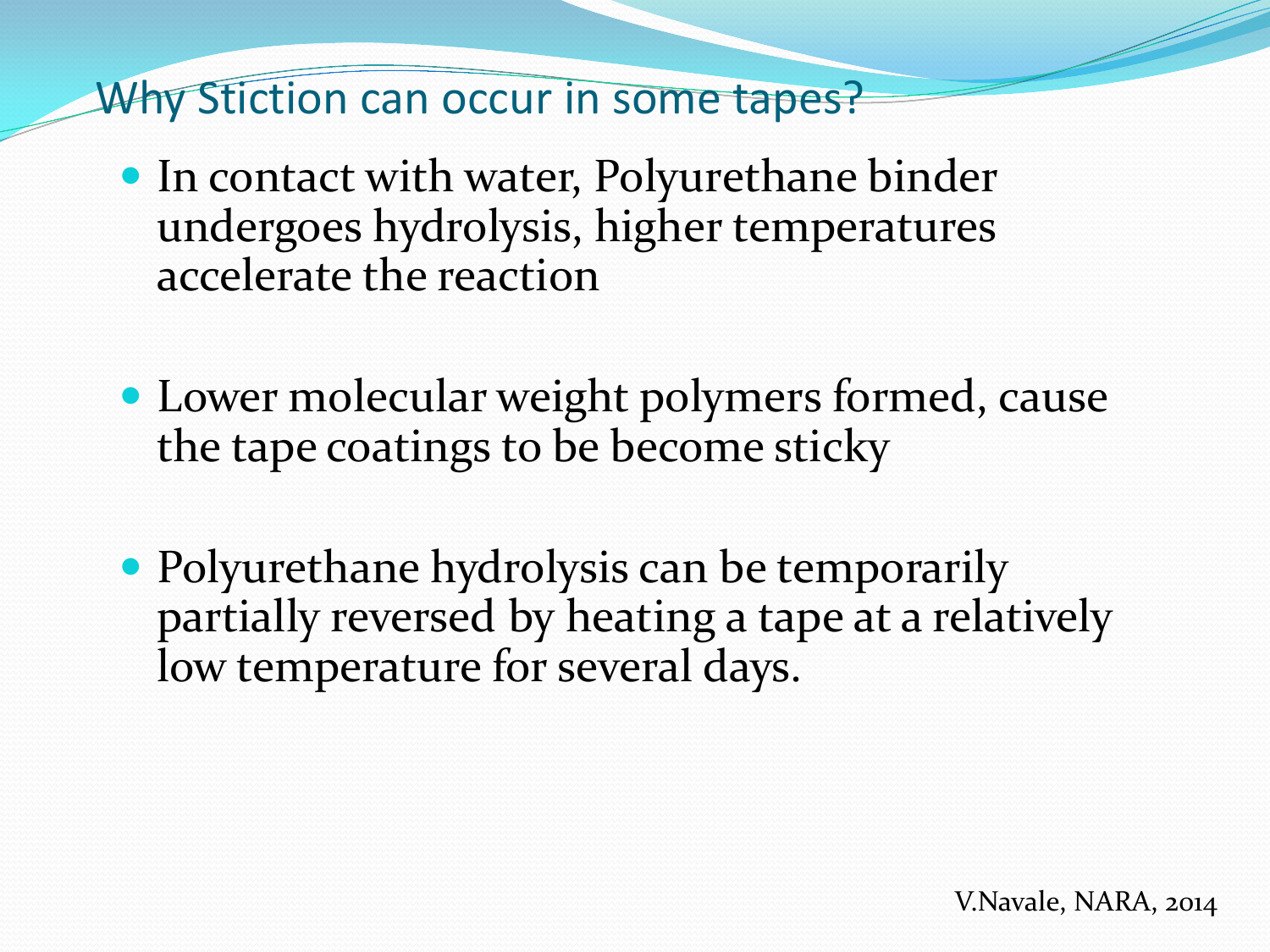Why Stiction can occur in some tapes?

- In contact with water, Polyurethane binder undergoes hydrolysis, higher temperatures accelerate the reaction
- Lower molecular weight polymers formed, cause the tape coatings to be become sticky
- Polyurethane hydrolysis can be temporarily partially reversed by heating a tape at a relatively low temperature for several days.

V.Navale, NARA, 2014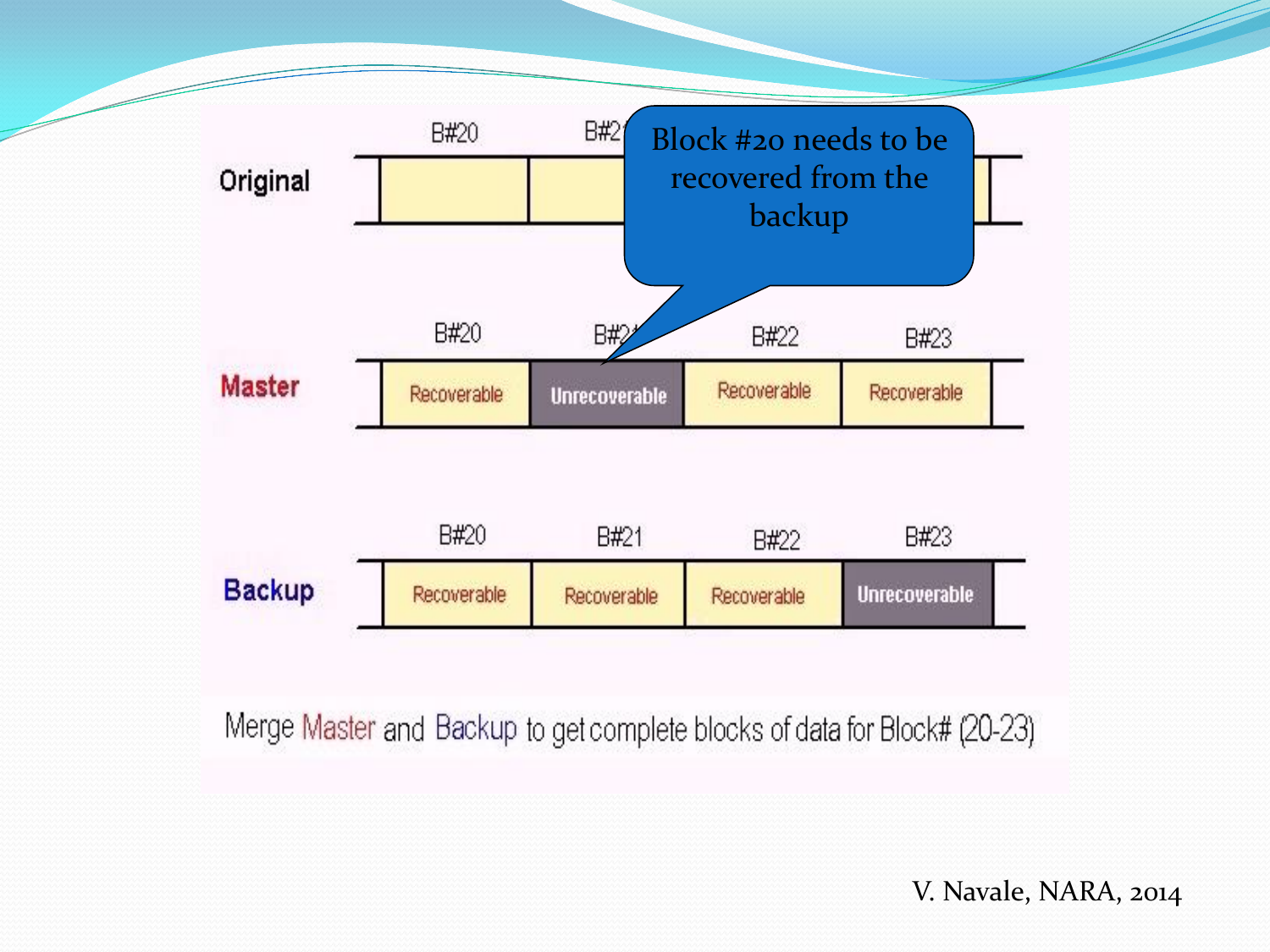

Merge Master and Backup to get complete blocks of data for Block# (20-23)

V. Navale, NARA, 2014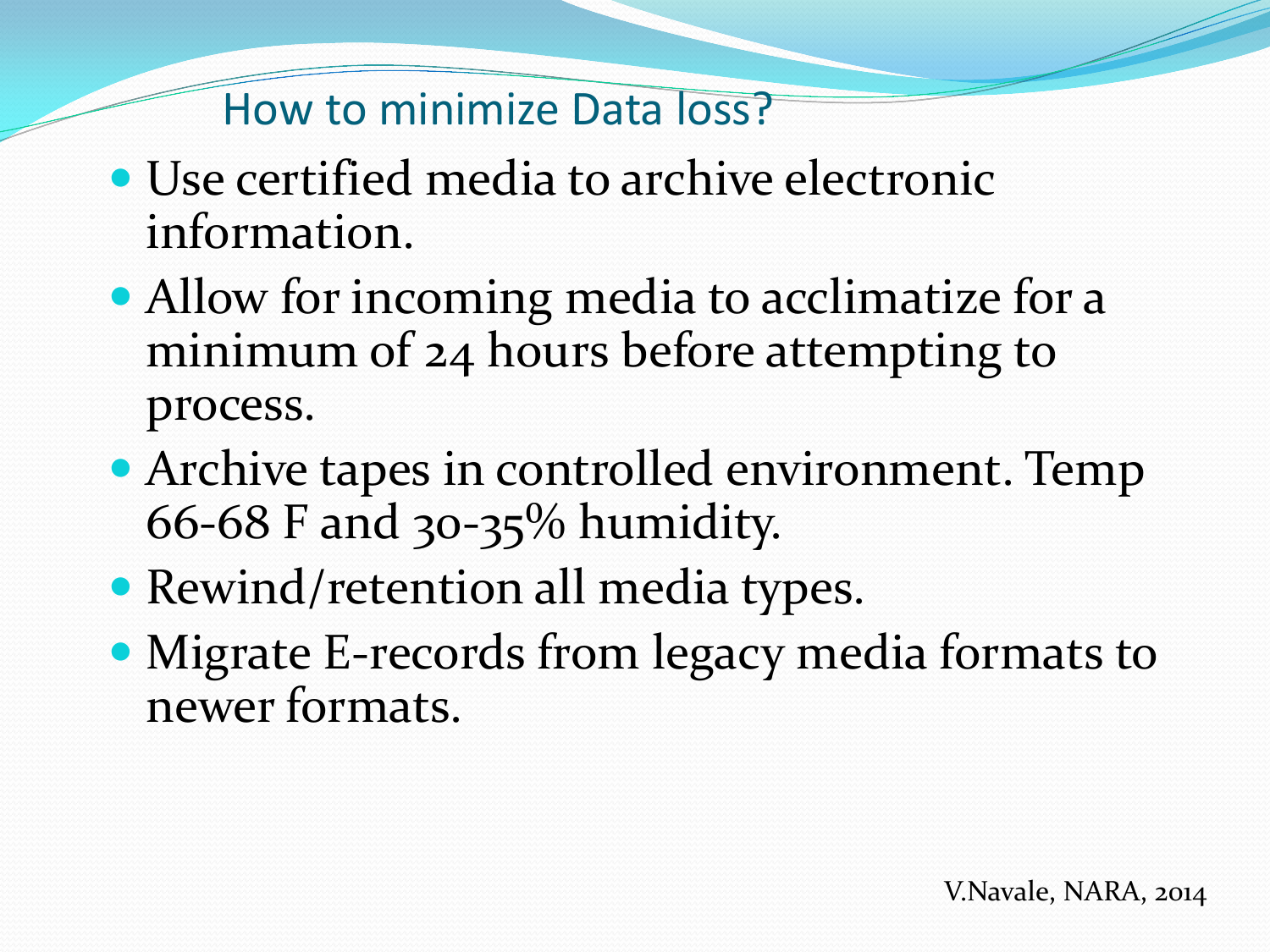## How to minimize Data loss?

- Use certified media to archive electronic information.
- Allow for incoming media to acclimatize for a minimum of 24 hours before attempting to process.
- Archive tapes in controlled environment. Temp 66-68 F and 30-35% humidity.
- Rewind/retention all media types.
- Migrate E-records from legacy media formats to newer formats.